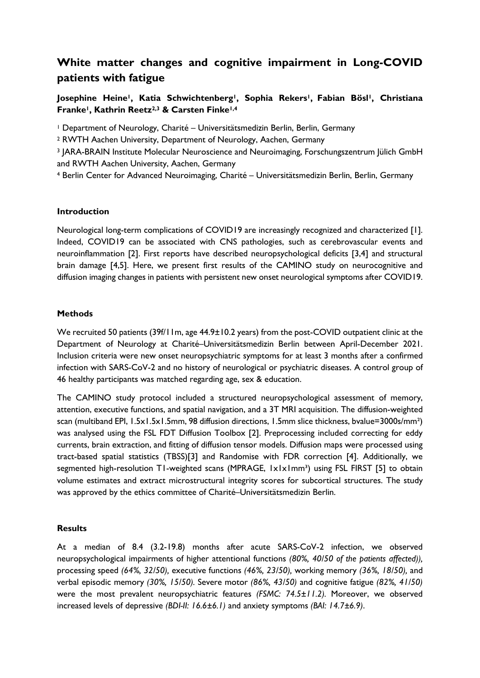# **White matter changes and cognitive impairment in Long-COVID patients with fatigue**

**Josephine Heine1, Katia Schwichtenberg1, Sophia Rekers1, Fabian Bösl1, Christiana Franke1, Kathrin Reetz2,3 & Carsten Finke1,4**

<sup>1</sup> Department of Neurology, Charité – Universitätsmedizin Berlin, Berlin, Germany

<sup>2</sup> RWTH Aachen University, Department of Neurology, Aachen, Germany

<sup>3</sup> JARA-BRAIN Institute Molecular Neuroscience and Neuroimaging, Forschungszentrum Jülich GmbH and RWTH Aachen University, Aachen, Germany

<sup>4</sup> Berlin Center for Advanced Neuroimaging, Charité – Universitätsmedizin Berlin, Berlin, Germany

## **Introduction**

Neurological long-term complications of COVID19 are increasingly recognized and characterized [1]. Indeed, COVID19 can be associated with CNS pathologies, such as cerebrovascular events and neuroinflammation [2]. First reports have described neuropsychological deficits [3,4] and structural brain damage [4,5]. Here, we present first results of the CAMINO study on neurocognitive and diffusion imaging changes in patients with persistent new onset neurological symptoms after COVID19.

#### **Methods**

We recruited 50 patients (39f/11m, age 44.9±10.2 years) from the post-COVID outpatient clinic at the Department of Neurology at Charité–Universitätsmedizin Berlin between April-December 2021. Inclusion criteria were new onset neuropsychiatric symptoms for at least 3 months after a confirmed infection with SARS-CoV-2 and no history of neurological or psychiatric diseases. A control group of 46 healthy participants was matched regarding age, sex & education.

The CAMINO study protocol included a structured neuropsychological assessment of memory, attention, executive functions, and spatial navigation, and a 3T MRI acquisition. The diffusion-weighted scan (multiband EPI, 1.5x1.5x1.5mm, 98 diffusion directions, 1.5mm slice thickness, bvalue=3000s/mm²) was analysed using the FSL FDT Diffusion Toolbox [2]. Preprocessing included correcting for eddy currents, brain extraction, and fitting of diffusion tensor models. Diffusion maps were processed using tract-based spatial statistics (TBSS)[3] and Randomise with FDR correction [4]. Additionally, we segmented high-resolution T1-weighted scans (MPRAGE, 1x1x1mm<sup>3</sup>) using FSL FIRST [5] to obtain volume estimates and extract microstructural integrity scores for subcortical structures. The study was approved by the ethics committee of Charité–Universitätsmedizin Berlin.

## **Results**

At a median of 8.4 (3.2-19.8) months after acute SARS-CoV-2 infection, we observed neuropsychological impairments of higher attentional functions *(80%, 40/50 of the patients affected)),* processing speed *(64%, 32/50),* executive functions *(46%, 23/50),* working memory *(36%, 18/50),* and verbal episodic memory *(30%, 15/50).* Severe motor *(86%, 43/50)* and cognitive fatigue *(82%, 41/50)* were the most prevalent neuropsychiatric features *(FSMC: 74.5±11.2).* Moreover, we observed increased levels of depressive *(BDI-II: 16.6±6.1)* and anxiety symptoms *(BAI: 14.7±6.9)*.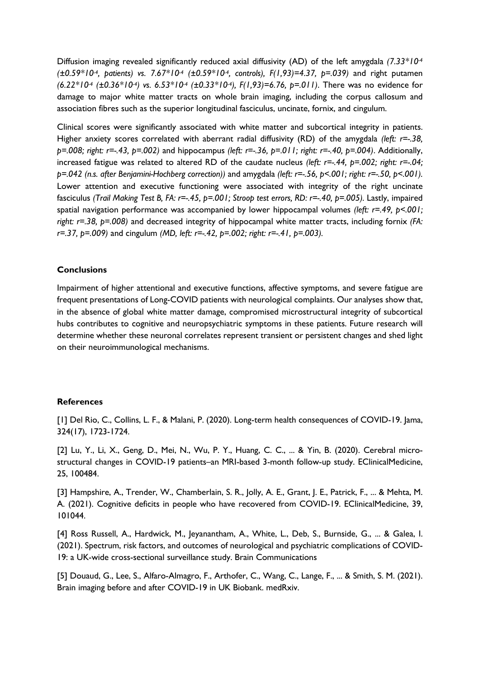Diffusion imaging revealed significantly reduced axial diffusivity (AD) of the left amygdala *(7.33\*10-4 (±0.59\*10-4, patients) vs. 7.67\*10-4 (±0.59\*10-4, controls), F(1,93)=4.37, p=.039)* and right putamen *(6.22\*10-4 (±0.36\*10-4) vs. 6.53\*10-4 (±0.33\*10-4), F(1,93)=6.76, p=.011)*. There was no evidence for damage to major white matter tracts on whole brain imaging, including the corpus callosum and association fibres such as the superior longitudinal fasciculus, uncinate, fornix, and cingulum.

Clinical scores were significantly associated with white matter and subcortical integrity in patients. Higher anxiety scores correlated with aberrant radial diffusivity (RD) of the amygdala *(left: r=-.38, p=.008; right: r=-.43, p=.002)* and hippocampus *(left: r=-.36, p=.011; right: r=-.40, p=.004)*. Additionally, increased fatigue was related to altered RD of the caudate nucleus *(left: r=-.44, p=.002; right: r=-.04; p=.042 (n.s. after Benjamini-Hochberg correction))* and amygdala *(left: r=-.56, p<.001; right: r=-.50, p<.001).*  Lower attention and executive functioning were associated with integrity of the right uncinate fasciculus *(Trail Making Test B, FA: r=-.45, p=.001; Stroop test errors, RD: r=-.40, p=.005).* Lastly, impaired spatial navigation performance was accompanied by lower hippocampal volumes *(left: r=.49, p<.001; right: r=.38, p=.008)* and decreased integrity of hippocampal white matter tracts, including fornix *(FA: r=.37, p=.009)* and cingulum *(MD, left: r=-.42, p=.002; right: r=-.41, p=.003).*

#### **Conclusions**

Impairment of higher attentional and executive functions, affective symptoms, and severe fatigue are frequent presentations of Long-COVID patients with neurological complaints. Our analyses show that, in the absence of global white matter damage, compromised microstructural integrity of subcortical hubs contributes to cognitive and neuropsychiatric symptoms in these patients. Future research will determine whether these neuronal correlates represent transient or persistent changes and shed light on their neuroimmunological mechanisms.

#### **References**

[1] Del Rio, C., Collins, L. F., & Malani, P. (2020). Long-term health consequences of COVID-19. Jama, 324(17), 1723-1724.

[2] Lu, Y., Li, X., Geng, D., Mei, N., Wu, P. Y., Huang, C. C., ... & Yin, B. (2020). Cerebral microstructural changes in COVID-19 patients–an MRI-based 3-month follow-up study. EClinicalMedicine, 25, 100484.

[3] Hampshire, A., Trender, W., Chamberlain, S. R., Jolly, A. E., Grant, J. E., Patrick, F., ... & Mehta, M. A. (2021). Cognitive deficits in people who have recovered from COVID-19. EClinicalMedicine, 39, 101044.

[4] Ross Russell, A., Hardwick, M., Jeyanantham, A., White, L., Deb, S., Burnside, G., ... & Galea, I. (2021). Spectrum, risk factors, and outcomes of neurological and psychiatric complications of COVID-19: a UK-wide cross-sectional surveillance study. Brain Communications

[5] Douaud, G., Lee, S., Alfaro-Almagro, F., Arthofer, C., Wang, C., Lange, F., ... & Smith, S. M. (2021). Brain imaging before and after COVID-19 in UK Biobank. medRxiv.